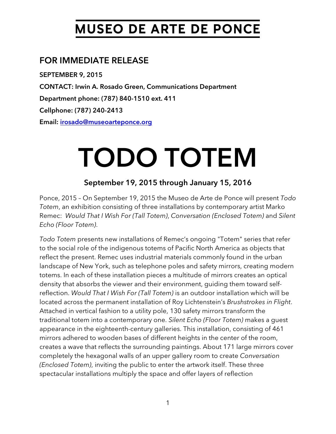# **MUSEO DE ARTE DE PONCE**

## FOR IMMEDIATE RELEASE

SEPTEMBER 9, 2015 CONTACT: Irwin A. Rosado Green, Communications Department Department phone: (787) 840-1510 ext. 411 Cellphone: (787) 240-2413 Email: [irosado@museoarteponce.org](mailto:irosado@museoarteponce.org)

# TODO TOTEM

### September 19, 2015 through January 15, 2016

Ponce, 2015 – On September 19, 2015 the Museo de Arte de Ponce will present *Todo Totem*, an exhibition consisting of three installations by contemporary artist Marko Remec: *Would That I Wish For (Tall Totem)*, *Conversation (Enclosed Totem)* and *Silent Echo (Floor Totem)*.

*Todo Totem* presents new installations of Remec's ongoing "Totem" series that refer to the social role of the indigenous totems of Pacific North America as objects that reflect the present. Remec uses industrial materials commonly found in the urban landscape of New York, such as telephone poles and safety mirrors, creating modern totems. In each of these installation pieces a multitude of mirrors creates an optical density that absorbs the viewer and their environment, guiding them toward selfreflection. *Would That I Wish For (Tall Totem)* is an outdoor installation which will be located across the permanent installation of Roy Lichtenstein's *Brushstrokes in Flight*. Attached in vertical fashion to a utility pole, 130 safety mirrors transform the traditional totem into a contemporary one. *Silent Echo (Floor Totem)* makes a guest appearance in the eighteenth-century galleries. This installation, consisting of 461 mirrors adhered to wooden bases of different heights in the center of the room, creates a wave that reflects the surrounding paintings. About 171 large mirrors cover completely the hexagonal walls of an upper gallery room to create *Conversation (Enclosed Totem)*, inviting the public to enter the artwork itself. These three spectacular installations multiply the space and offer layers of reflection